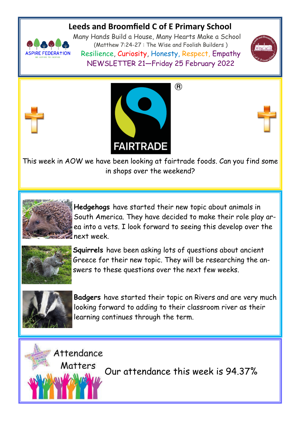# **Leeds and Broomfield C of E Primary School**



Many Hands Build a House, Many Hearts Make a School (Matthew 7:24-27 : The Wise and Foolish Builders ) Resilience, Curiosity, Honesty, Respect, Empathy NEWSLETTER 21—Friday 25 February 2022







This week in AOW we have been looking at fairtrade foods. Can you find some in shops over the weekend?



**Hedgehogs** have started their new topic about animals in South America. They have decided to make their role play area into a vets. I look forward to seeing this develop over the next week.



**Squirrels** have been asking lots of questions about ancient Greece for their new topic. They will be researching the answers to these questions over the next few weeks.



**Badgers** have started their topic on Rivers and are very much looking forward to adding to their classroom river as their learning continues through the term.

Attendance

Matters

Our attendance this week is 94.37%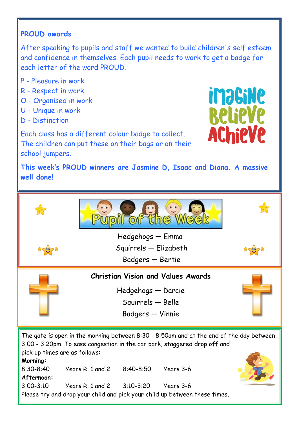# **PROUD awards**

After speaking to pupils and staff we wanted to build children's self esteem and confidence in themselves. Each pupil needs to work to get a badge for each letter of the word PROUD.

- P Pleasure in work
- R Respect in work
- O Organised in work
- U Unique in work
- D Distinction

Each class has a different colour badge to collect. The children can put these on their bags or on their school jumpers.



**This week's PROUD winners are Jasmine D, Isaac and Diana. A massive well done!**



**Afternoon:** 3:00-3:10 Years R, 1 and 2 3:10-3:20 Years 3-6 Please try and drop your child and pick your child up between these times.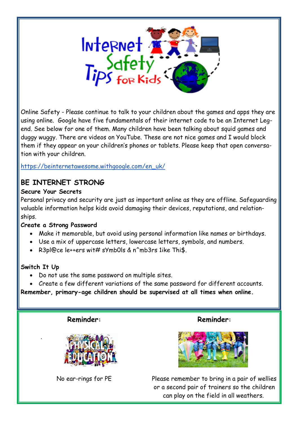

Online Safety - Please continue to talk to your children about the games and apps they are using online. Google have five fundamentals of their internet code to be an Internet Legend. See below for one of them. Many children have been talking about squid games and duggy wuggy. There are videos on YouTube. These are not nice games and I would block them if they appear on your children's phones or tablets. Please keep that open conversation with your children.

[https://beinternetawesome.withgoogle.com/en\\_uk/](https://beinternetawesome.withgoogle.com/en_uk/)

## **BE INTERNET STRONG**

#### **Secure Your Secrets**

Personal privacy and security are just as important online as they are offline. Safeguarding valuable information helps kids avoid damaging their devices, reputations, and relationships.

### **Create a Strong Password**

- Make it memorable, but avoid using personal information like names or birthdays.
- Use a mix of uppercase letters, lowercase letters, symbols, and numbers.
- R3pl@ce le++ers wit# sYmb0ls & n^mb3rs 1ike Thi\$.

### **Switch It Up**

.

- Do not use the same password on multiple sites.
- Create a few different variations of the same password for different accounts.

**Remember, primary-age children should be supervised at all times when online.**

**Reminder:**



No ear-rings for PE

**Reminder:**



Please remember to bring in a pair of wellies or a second pair of trainers so the children can play on the field in all weathers.